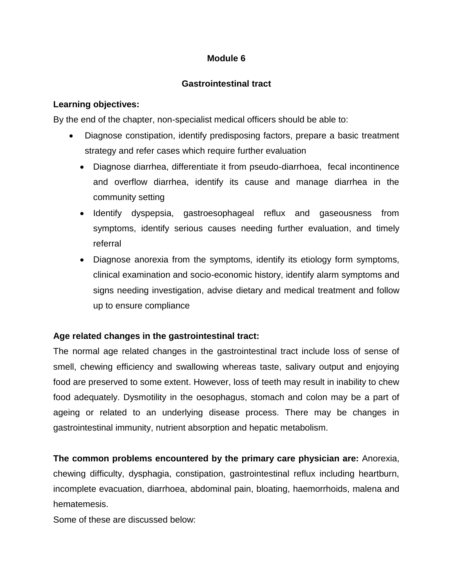## **Module 6**

## **Gastrointestinal tract**

## **Learning objectives:**

By the end of the chapter, non-specialist medical officers should be able to:

- Diagnose constipation, identify predisposing factors, prepare a basic treatment strategy and refer cases which require further evaluation
	- Diagnose diarrhea, differentiate it from pseudo-diarrhoea, fecal incontinence and overflow diarrhea, identify its cause and manage diarrhea in the community setting
	- Identify dyspepsia, gastroesophageal reflux and gaseousness from symptoms, identify serious causes needing further evaluation, and timely referral
	- Diagnose anorexia from the symptoms, identify its etiology form symptoms, clinical examination and socio-economic history, identify alarm symptoms and signs needing investigation, advise dietary and medical treatment and follow up to ensure compliance

# **Age related changes in the gastrointestinal tract:**

The normal age related changes in the gastrointestinal tract include loss of sense of smell, chewing efficiency and swallowing whereas taste, salivary output and enjoying food are preserved to some extent. However, loss of teeth may result in inability to chew food adequately. Dysmotility in the oesophagus, stomach and colon may be a part of ageing or related to an underlying disease process. There may be changes in gastrointestinal immunity, nutrient absorption and hepatic metabolism.

**The common problems encountered by the primary care physician are:** Anorexia, chewing difficulty, dysphagia, constipation, gastrointestinal reflux including heartburn, incomplete evacuation, diarrhoea, abdominal pain, bloating, haemorrhoids, malena and hematemesis.

Some of these are discussed below: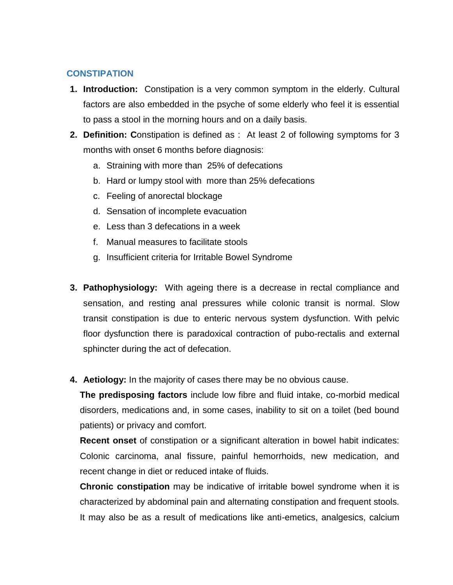## **CONSTIPATION**

- **1. Introduction:** Constipation is a very common symptom in the elderly. Cultural factors are also embedded in the psyche of some elderly who feel it is essential to pass a stool in the morning hours and on a daily basis.
- **2. Definition: C**onstipation is defined as : At least 2 of following symptoms for 3 months with onset 6 months before diagnosis:
	- a. Straining with more than 25% of defecations
	- b. Hard or lumpy stool with more than 25% defecations
	- c. Feeling of anorectal blockage
	- d. Sensation of incomplete evacuation
	- e. Less than 3 defecations in a week
	- f. Manual measures to facilitate stools
	- g. Insufficient criteria for Irritable Bowel Syndrome
- **3. Pathophysiology:** With ageing there is a decrease in rectal compliance and sensation, and resting anal pressures while colonic transit is normal. Slow transit constipation is due to enteric nervous system dysfunction. With pelvic floor dysfunction there is paradoxical contraction of pubo-rectalis and external sphincter during the act of defecation.
- **4. Aetiology:** In the majority of cases there may be no obvious cause.

**The predisposing factors** include low fibre and fluid intake, co-morbid medical disorders, medications and, in some cases, inability to sit on a toilet (bed bound patients) or privacy and comfort.

**Recent onset** of constipation or a significant alteration in bowel habit indicates: Colonic carcinoma, anal fissure, painful hemorrhoids, new medication, and recent change in diet or reduced intake of fluids.

**Chronic constipation** may be indicative of irritable bowel syndrome when it is characterized by abdominal pain and alternating constipation and frequent stools. It may also be as a result of medications like anti-emetics, analgesics, calcium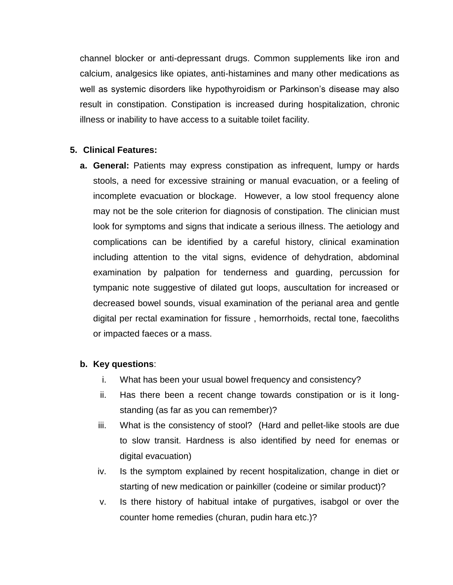channel blocker or anti-depressant drugs. Common supplements like iron and calcium, analgesics like opiates, anti-histamines and many other medications as well as systemic disorders like hypothyroidism or Parkinson's disease may also result in constipation. Constipation is increased during hospitalization, chronic illness or inability to have access to a suitable toilet facility.

## **5. Clinical Features:**

**a. General:** Patients may express constipation as infrequent, lumpy or hards stools, a need for excessive straining or manual evacuation, or a feeling of incomplete evacuation or blockage. However, a low stool frequency alone may not be the sole criterion for diagnosis of constipation. The clinician must look for symptoms and signs that indicate a serious illness. The aetiology and complications can be identified by a careful history, clinical examination including attention to the vital signs, evidence of dehydration, abdominal examination by palpation for tenderness and guarding, percussion for tympanic note suggestive of dilated gut loops, auscultation for increased or decreased bowel sounds, visual examination of the perianal area and gentle digital per rectal examination for fissure , hemorrhoids, rectal tone, faecoliths or impacted faeces or a mass.

# **b. Key questions**:

- i. What has been your usual bowel frequency and consistency?
- ii. Has there been a recent change towards constipation or is it longstanding (as far as you can remember)?
- iii. What is the consistency of stool? (Hard and pellet-like stools are due to slow transit. Hardness is also identified by need for enemas or digital evacuation)
- iv. Is the symptom explained by recent hospitalization, change in diet or starting of new medication or painkiller (codeine or similar product)?
- v. Is there history of habitual intake of purgatives, isabgol or over the counter home remedies (churan, pudin hara etc.)?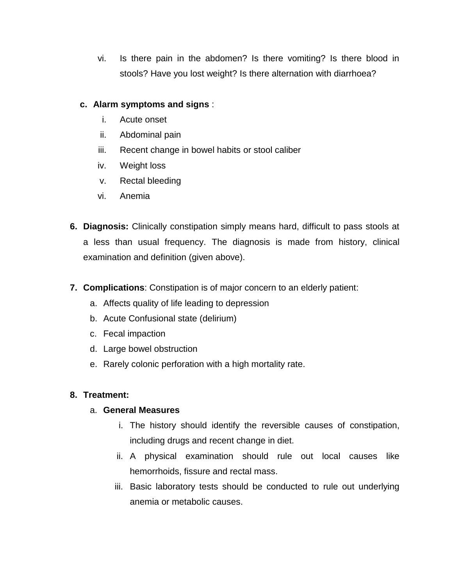vi. Is there pain in the abdomen? Is there vomiting? Is there blood in stools? Have you lost weight? Is there alternation with diarrhoea?

## **c. Alarm symptoms and signs** :

- i. Acute onset
- ii. Abdominal pain
- iii. Recent change in bowel habits or stool caliber
- iv. Weight loss
- v. Rectal bleeding
- vi. Anemia
- **6. Diagnosis:** Clinically constipation simply means hard, difficult to pass stools at a less than usual frequency. The diagnosis is made from history, clinical examination and definition (given above).
- **7. Complications**: Constipation is of major concern to an elderly patient:
	- a. Affects quality of life leading to depression
	- b. Acute Confusional state (delirium)
	- c. Fecal impaction
	- d. Large bowel obstruction
	- e. Rarely colonic perforation with a high mortality rate.

# **8. Treatment:**

# a. **General Measures**

- i. The history should identify the reversible causes of constipation, including drugs and recent change in diet.
- ii. A physical examination should rule out local causes like hemorrhoids, fissure and rectal mass.
- iii. Basic laboratory tests should be conducted to rule out underlying anemia or metabolic causes.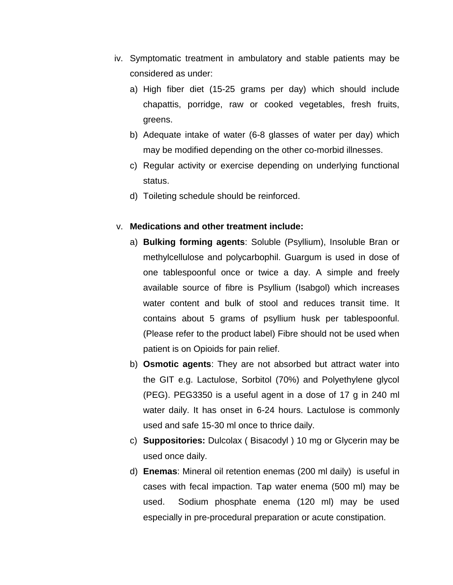- iv. Symptomatic treatment in ambulatory and stable patients may be considered as under:
	- a) High fiber diet (15-25 grams per day) which should include chapattis, porridge, raw or cooked vegetables, fresh fruits, greens.
	- b) Adequate intake of water (6-8 glasses of water per day) which may be modified depending on the other co-morbid illnesses.
	- c) Regular activity or exercise depending on underlying functional status.
	- d) Toileting schedule should be reinforced.

#### v. **Medications and other treatment include:**

- a) **Bulking forming agents**: Soluble (Psyllium), Insoluble Bran or methylcellulose and polycarbophil. Guargum is used in dose of one tablespoonful once or twice a day. A simple and freely available source of fibre is Psyllium (Isabgol) which increases water content and bulk of stool and reduces transit time. It contains about 5 grams of psyllium husk per tablespoonful. (Please refer to the product label) Fibre should not be used when patient is on Opioids for pain relief.
- b) **Osmotic agents**: They are not absorbed but attract water into the GIT e.g. Lactulose, Sorbitol (70%) and Polyethylene glycol (PEG). PEG3350 is a useful agent in a dose of 17 g in 240 ml water daily. It has onset in 6-24 hours. Lactulose is commonly used and safe 15-30 ml once to thrice daily.
- c) **Suppositories:** Dulcolax ( Bisacodyl ) 10 mg or Glycerin may be used once daily.
- d) **Enemas**: Mineral oil retention enemas (200 ml daily) is useful in cases with fecal impaction. Tap water enema (500 ml) may be used. Sodium phosphate enema (120 ml) may be used especially in pre-procedural preparation or acute constipation.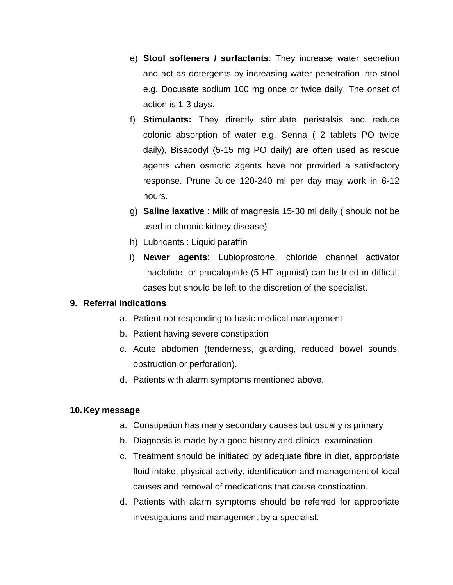- e) **Stool softeners / surfactants**: They increase water secretion and act as detergents by increasing water penetration into stool e.g. Docusate sodium 100 mg once or twice daily. The onset of action is 1-3 days.
- f) **Stimulants:** They directly stimulate peristalsis and reduce colonic absorption of water e.g. Senna ( 2 tablets PO twice daily), Bisacodyl (5-15 mg PO daily) are often used as rescue agents when osmotic agents have not provided a satisfactory response. Prune Juice 120-240 ml per day may work in 6-12 hours.
- g) **Saline laxative** : Milk of magnesia 15-30 ml daily ( should not be used in chronic kidney disease)
- h) Lubricants : Liquid paraffin
- i) **Newer agents**: Lubioprostone, chloride channel activator linaclotide, or prucalopride (5 HT agonist) can be tried in difficult cases but should be left to the discretion of the specialist.

# **9. Referral indications**

- a. Patient not responding to basic medical management
- b. Patient having severe constipation
- c. Acute abdomen (tenderness, guarding, reduced bowel sounds, obstruction or perforation).
- d. Patients with alarm symptoms mentioned above.

# **10.Key message**

- a. Constipation has many secondary causes but usually is primary
- b. Diagnosis is made by a good history and clinical examination
- c. Treatment should be initiated by adequate fibre in diet, appropriate fluid intake, physical activity, identification and management of local causes and removal of medications that cause constipation.
- d. Patients with alarm symptoms should be referred for appropriate investigations and management by a specialist.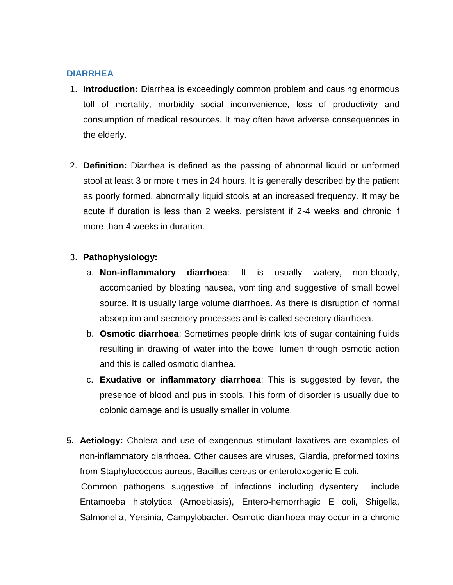#### **DIARRHEA**

- 1. **Introduction:** Diarrhea is exceedingly common problem and causing enormous toll of mortality, morbidity social inconvenience, loss of productivity and consumption of medical resources. It may often have adverse consequences in the elderly.
- 2. **Definition:** Diarrhea is defined as the passing of abnormal liquid or unformed stool at least 3 or more times in 24 hours. It is generally described by the patient as poorly formed, abnormally liquid stools at an increased frequency. It may be acute if duration is less than 2 weeks, persistent if 2-4 weeks and chronic if more than 4 weeks in duration.

#### 3. **Pathophysiology:**

- a. **Non-inflammatory diarrhoea**: It is usually watery, non-bloody, accompanied by bloating nausea, vomiting and suggestive of small bowel source. It is usually large volume diarrhoea. As there is disruption of normal absorption and secretory processes and is called secretory diarrhoea.
- b. **Osmotic diarrhoea**: Sometimes people drink lots of sugar containing fluids resulting in drawing of water into the bowel lumen through osmotic action and this is called osmotic diarrhea.
- c. **Exudative or inflammatory diarrhoea**: This is suggested by fever, the presence of blood and pus in stools. This form of disorder is usually due to colonic damage and is usually smaller in volume.
- **5. Aetiology:** Cholera and use of exogenous stimulant laxatives are examples of non-inflammatory diarrhoea. Other causes are viruses, Giardia, preformed toxins from Staphylococcus aureus, Bacillus cereus or enterotoxogenic E coli. Common pathogens suggestive of infections including dysentery include Entamoeba histolytica (Amoebiasis), Entero-hemorrhagic E coli, Shigella, Salmonella, Yersinia, Campylobacter. Osmotic diarrhoea may occur in a chronic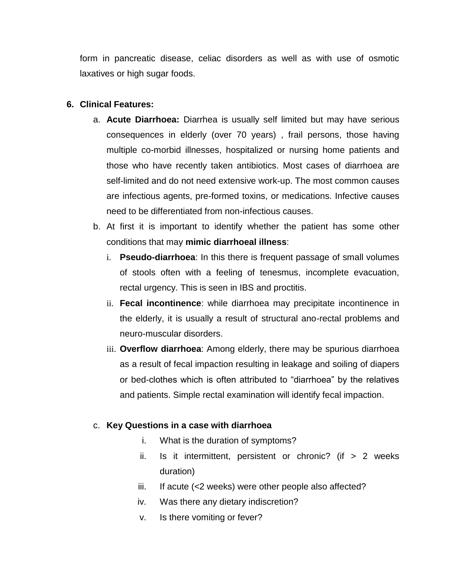form in pancreatic disease, celiac disorders as well as with use of osmotic laxatives or high sugar foods.

## **6. Clinical Features:**

- a. **Acute Diarrhoea:** Diarrhea is usually self limited but may have serious consequences in elderly (over 70 years) , frail persons, those having multiple co-morbid illnesses, hospitalized or nursing home patients and those who have recently taken antibiotics. Most cases of diarrhoea are self-limited and do not need extensive work-up. The most common causes are infectious agents, pre-formed toxins, or medications. Infective causes need to be differentiated from non-infectious causes.
- b. At first it is important to identify whether the patient has some other conditions that may **mimic diarrhoeal illness**:
	- i. **Pseudo-diarrhoea**: In this there is frequent passage of small volumes of stools often with a feeling of tenesmus, incomplete evacuation, rectal urgency. This is seen in IBS and proctitis.
	- ii. **Fecal incontinence**: while diarrhoea may precipitate incontinence in the elderly, it is usually a result of structural ano-rectal problems and neuro-muscular disorders.
	- iii. **Overflow diarrhoea**: Among elderly, there may be spurious diarrhoea as a result of fecal impaction resulting in leakage and soiling of diapers or bed-clothes which is often attributed to "diarrhoea" by the relatives and patients. Simple rectal examination will identify fecal impaction.

#### c. **Key Questions in a case with diarrhoea**

- i. What is the duration of symptoms?
- ii. Is it intermittent, persistent or chronic? (if  $> 2$  weeks duration)
- iii. If acute (<2 weeks) were other people also affected?
- iv. Was there any dietary indiscretion?
- v. Is there vomiting or fever?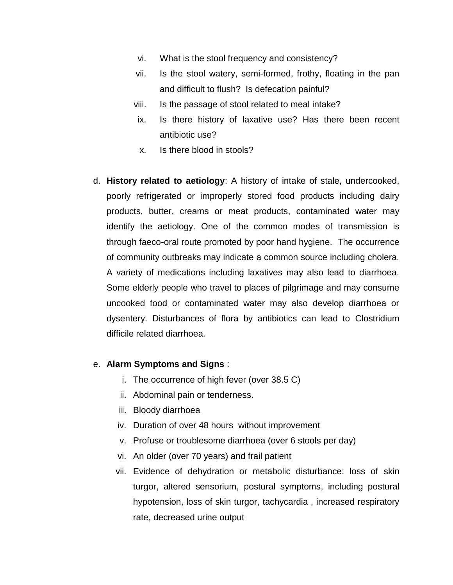- vi. What is the stool frequency and consistency?
- vii. Is the stool watery, semi-formed, frothy, floating in the pan and difficult to flush? Is defecation painful?
- viii. Is the passage of stool related to meal intake?
- ix. Is there history of laxative use? Has there been recent antibiotic use?
- x. Is there blood in stools?
- d. **History related to aetiology**: A history of intake of stale, undercooked, poorly refrigerated or improperly stored food products including dairy products, butter, creams or meat products, contaminated water may identify the aetiology. One of the common modes of transmission is through faeco-oral route promoted by poor hand hygiene. The occurrence of community outbreaks may indicate a common source including cholera. A variety of medications including laxatives may also lead to diarrhoea. Some elderly people who travel to places of pilgrimage and may consume uncooked food or contaminated water may also develop diarrhoea or dysentery. Disturbances of flora by antibiotics can lead to Clostridium difficile related diarrhoea*.*

#### e. **Alarm Symptoms and Signs** :

- i. The occurrence of high fever (over 38.5 C)
- ii. Abdominal pain or tenderness.
- iii. Bloody diarrhoea
- iv. Duration of over 48 hours without improvement
- v. Profuse or troublesome diarrhoea (over 6 stools per day)
- vi. An older (over 70 years) and frail patient
- vii. Evidence of dehydration or metabolic disturbance: loss of skin turgor, altered sensorium, postural symptoms, including postural hypotension, loss of skin turgor, tachycardia , increased respiratory rate, decreased urine output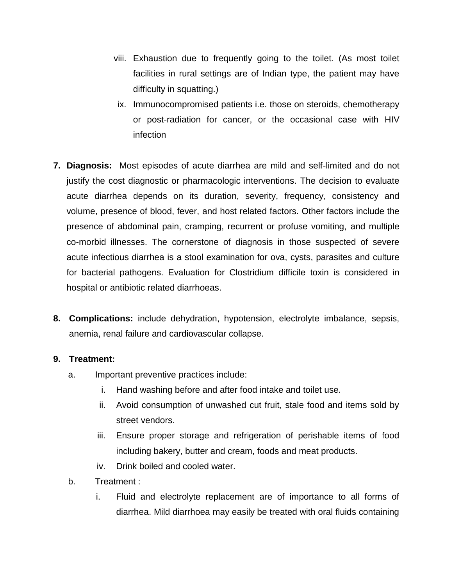- viii. Exhaustion due to frequently going to the toilet. (As most toilet facilities in rural settings are of Indian type, the patient may have difficulty in squatting.)
- ix. Immunocompromised patients i.e. those on steroids, chemotherapy or post-radiation for cancer, or the occasional case with HIV infection
- **7. Diagnosis:** Most episodes of acute diarrhea are mild and self-limited and do not justify the cost diagnostic or pharmacologic interventions. The decision to evaluate acute diarrhea depends on its duration, severity, frequency, consistency and volume, presence of blood, fever, and host related factors. Other factors include the presence of abdominal pain, cramping, recurrent or profuse vomiting, and multiple co-morbid illnesses. The cornerstone of diagnosis in those suspected of severe acute infectious diarrhea is a stool examination for ova, cysts, parasites and culture for bacterial pathogens. Evaluation for Clostridium difficile toxin is considered in hospital or antibiotic related diarrhoeas.
- **8. Complications:** include dehydration, hypotension, electrolyte imbalance, sepsis, anemia, renal failure and cardiovascular collapse.

#### **9. Treatment:**

- a. Important preventive practices include:
	- i. Hand washing before and after food intake and toilet use.
	- ii. Avoid consumption of unwashed cut fruit, stale food and items sold by street vendors.
	- iii. Ensure proper storage and refrigeration of perishable items of food including bakery, butter and cream, foods and meat products.
	- iv. Drink boiled and cooled water.
- b. Treatment :
	- i. Fluid and electrolyte replacement are of importance to all forms of diarrhea. Mild diarrhoea may easily be treated with oral fluids containing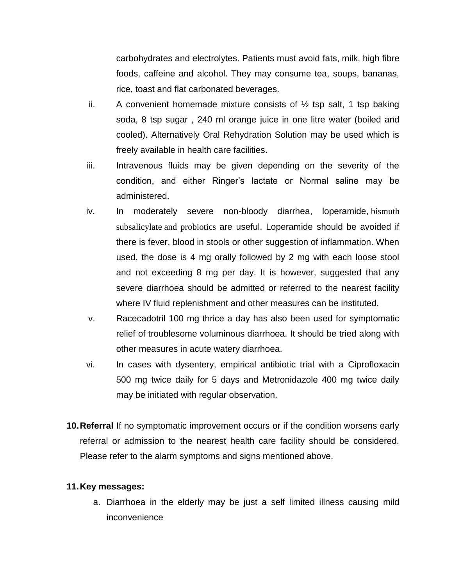carbohydrates and electrolytes. Patients must avoid fats, milk, high fibre foods, caffeine and alcohol. They may consume tea, soups, bananas, rice, toast and flat carbonated beverages.

- ii. A convenient homemade mixture consists of  $\frac{1}{2}$  tsp salt, 1 tsp baking soda, 8 tsp sugar , 240 ml orange juice in one litre water (boiled and cooled). Alternatively Oral Rehydration Solution may be used which is freely available in health care facilities.
- iii. Intravenous fluids may be given depending on the severity of the condition, and either Ringer's lactate or Normal saline may be administered.
- iv. In moderately severe non-bloody diarrhea, loperamide, [bismuth](https://en.wikipedia.org/wiki/Bismuth_subsalicylate)  [subsalicylate](https://en.wikipedia.org/wiki/Bismuth_subsalicylate) and probiotics are useful. Loperamide should be avoided if there is fever, blood in stools or other suggestion of inflammation. When used, the dose is 4 mg orally followed by 2 mg with each loose stool and not exceeding 8 mg per day. It is however, suggested that any severe diarrhoea should be admitted or referred to the nearest facility where IV fluid replenishment and other measures can be instituted.
- v. Racecadotril 100 mg thrice a day has also been used for symptomatic relief of troublesome voluminous diarrhoea. It should be tried along with other measures in acute watery diarrhoea.
- vi. In cases with dysentery, empirical antibiotic trial with a Ciprofloxacin 500 mg twice daily for 5 days and Metronidazole 400 mg twice daily may be initiated with regular observation.
- **10.Referral** If no symptomatic improvement occurs or if the condition worsens early referral or admission to the nearest health care facility should be considered. Please refer to the alarm symptoms and signs mentioned above.

#### **11.Key messages:**

a. Diarrhoea in the elderly may be just a self limited illness causing mild inconvenience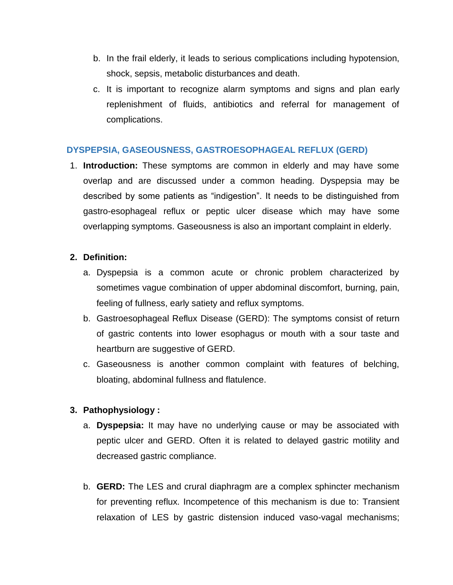- b. In the frail elderly, it leads to serious complications including hypotension, shock, sepsis, metabolic disturbances and death.
- c. It is important to recognize alarm symptoms and signs and plan early replenishment of fluids, antibiotics and referral for management of complications.

## **DYSPEPSIA, GASEOUSNESS, GASTROESOPHAGEAL REFLUX (GERD)**

1. **Introduction:** These symptoms are common in elderly and may have some overlap and are discussed under a common heading. Dyspepsia may be described by some patients as "indigestion". It needs to be distinguished from gastro-esophageal reflux or peptic ulcer disease which may have some overlapping symptoms. Gaseousness is also an important complaint in elderly.

## **2. Definition:**

- a. Dyspepsia is a common acute or chronic problem characterized by sometimes vague combination of upper abdominal discomfort, burning, pain, feeling of fullness, early satiety and reflux symptoms.
- b. Gastroesophageal Reflux Disease (GERD): The symptoms consist of return of gastric contents into lower esophagus or mouth with a sour taste and heartburn are suggestive of GERD.
- c. Gaseousness is another common complaint with features of belching, bloating, abdominal fullness and flatulence.

# **3. Pathophysiology :**

- a. **Dyspepsia:** It may have no underlying cause or may be associated with peptic ulcer and GERD. Often it is related to delayed gastric motility and decreased gastric compliance.
- b. **GERD:** The LES and crural diaphragm are a complex sphincter mechanism for preventing reflux. Incompetence of this mechanism is due to: Transient relaxation of LES by gastric distension induced vaso-vagal mechanisms;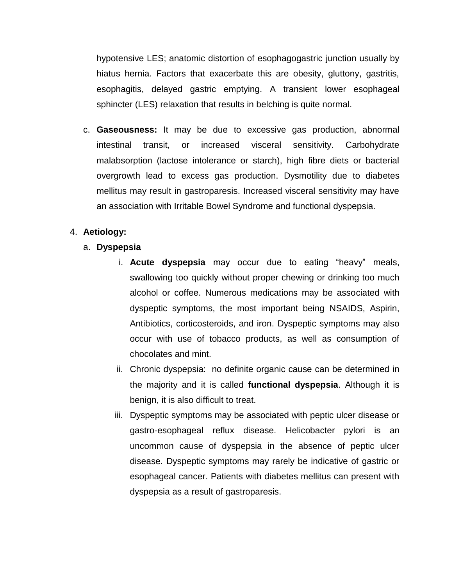hypotensive LES; anatomic distortion of esophagogastric junction usually by hiatus hernia. Factors that exacerbate this are obesity, gluttony, gastritis, esophagitis, delayed gastric emptying. A transient lower esophageal sphincter (LES) relaxation that results in belching is quite normal.

c. **Gaseousness:** It may be due to excessive gas production, abnormal intestinal transit, or increased visceral sensitivity. Carbohydrate malabsorption (lactose intolerance or starch), high fibre diets or bacterial overgrowth lead to excess gas production. Dysmotility due to diabetes mellitus may result in gastroparesis. Increased visceral sensitivity may have an association with Irritable Bowel Syndrome and functional dyspepsia.

# 4. **Aetiology:**

- a. **Dyspepsia** 
	- i. **Acute dyspepsia** may occur due to eating "heavy" meals, swallowing too quickly without proper chewing or drinking too much alcohol or coffee. Numerous medications may be associated with dyspeptic symptoms, the most important being NSAIDS, Aspirin, Antibiotics, corticosteroids, and iron. Dyspeptic symptoms may also occur with use of tobacco products, as well as consumption of chocolates and mint.
	- ii. Chronic dyspepsia: no definite organic cause can be determined in the majority and it is called **functional dyspepsia**. Although it is benign, it is also difficult to treat.
	- iii. Dyspeptic symptoms may be associated with peptic ulcer disease or gastro-esophageal reflux disease. Helicobacter pylori is an uncommon cause of dyspepsia in the absence of peptic ulcer disease. Dyspeptic symptoms may rarely be indicative of gastric or esophageal cancer. Patients with diabetes mellitus can present with dyspepsia as a result of gastroparesis.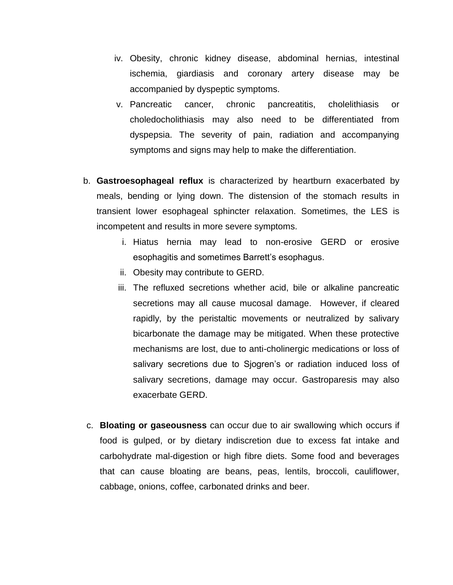- iv. Obesity, chronic kidney disease, abdominal hernias, intestinal ischemia, giardiasis and coronary artery disease may be accompanied by dyspeptic symptoms.
- v. Pancreatic cancer, chronic pancreatitis, cholelithiasis or choledocholithiasis may also need to be differentiated from dyspepsia. The severity of pain, radiation and accompanying symptoms and signs may help to make the differentiation.
- b. **Gastroesophageal reflux** is characterized by heartburn exacerbated by meals, bending or lying down. The distension of the stomach results in transient lower esophageal sphincter relaxation. Sometimes, the LES is incompetent and results in more severe symptoms.
	- i. Hiatus hernia may lead to non-erosive GERD or erosive esophagitis and sometimes Barrett's esophagus.
	- ii. Obesity may contribute to GERD.
	- iii. The refluxed secretions whether acid, bile or alkaline pancreatic secretions may all cause mucosal damage. However, if cleared rapidly, by the peristaltic movements or neutralized by salivary bicarbonate the damage may be mitigated. When these protective mechanisms are lost, due to anti-cholinergic medications or loss of salivary secretions due to Sjogren's or radiation induced loss of salivary secretions, damage may occur. Gastroparesis may also exacerbate GERD.
- c. **Bloating or gaseousness** can occur due to air swallowing which occurs if food is gulped, or by dietary indiscretion due to excess fat intake and carbohydrate mal-digestion or high fibre diets. Some food and beverages that can cause bloating are beans, peas, lentils, broccoli, cauliflower, cabbage, onions, coffee, carbonated drinks and beer.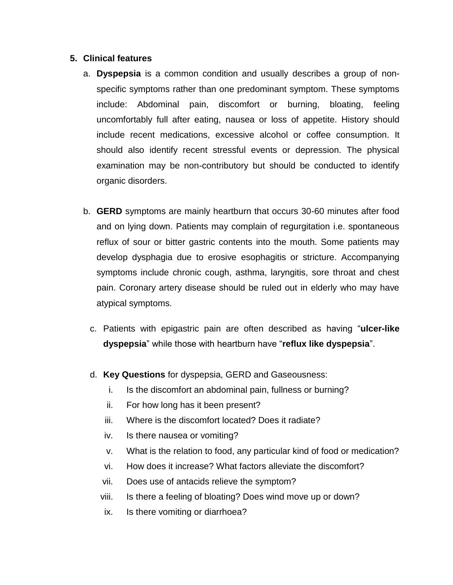#### **5. Clinical features**

- a. **Dyspepsia** is a common condition and usually describes a group of nonspecific symptoms rather than one predominant symptom. These symptoms include: Abdominal pain, discomfort or burning, [bloating,](http://www.webmd.com/digestive-disorders/diarrhea-10/bloated-bloating) feeling uncomfortably full after eating, [nausea](http://www.webmd.com/digestive-disorders/digestive-diseases-nausea-vomiting) or loss of appetite. History should include recent medications, excessive alcohol or coffee consumption. It should also identify recent stressful events or depression. The physical examination may be non-contributory but should be conducted to identify organic disorders.
- b. **GERD** symptoms are mainly heartburn that occurs 30-60 minutes after food and on lying down. Patients may complain of regurgitation i.e. spontaneous reflux of sour or bitter gastric contents into the mouth. Some patients may develop dysphagia due to erosive esophagitis or stricture. Accompanying symptoms include chronic cough, asthma, laryngitis, sore throat and chest pain. Coronary artery disease should be ruled out in elderly who may have atypical symptoms.
	- c. Patients with epigastric pain are often described as having "**ulcer-like dyspepsia**" while those with heartburn have "**reflux like dyspepsia**".
	- d. **Key Questions** for dyspepsia, GERD and Gaseousness:
		- i. Is the discomfort an abdominal pain, fullness or burning?
		- ii. For how long has it been present?
		- iii. Where is the discomfort located? Does it radiate?
		- iv. Is there nausea or vomiting?
		- v. What is the relation to food, any particular kind of food or medication?
		- vi. How does it increase? What factors alleviate the discomfort?
		- vii. Does use of antacids relieve the symptom?
		- viii. Is there a feeling of bloating? Does wind move up or down?
		- ix. Is there vomiting or diarrhoea?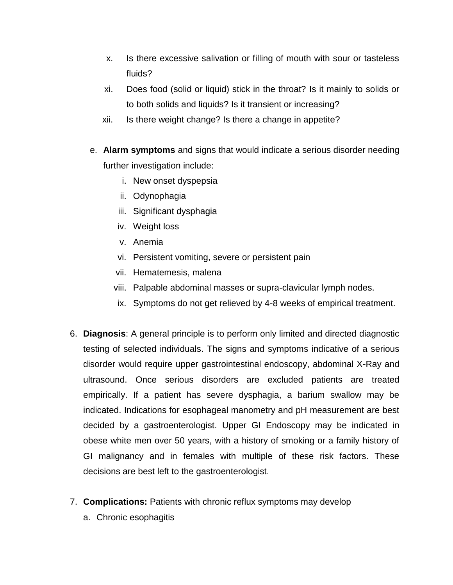- x. Is there excessive salivation or filling of mouth with sour or tasteless fluids?
- xi. Does food (solid or liquid) stick in the throat? Is it mainly to solids or to both solids and liquids? Is it transient or increasing?
- xii. Is there weight change? Is there a change in appetite?
- e. **Alarm symptoms** and signs that would indicate a serious disorder needing further investigation include:
	- i. New onset dyspepsia
	- ii. Odynophagia
	- iii. Significant dysphagia
	- iv. Weight loss
	- v. Anemia
	- vi. Persistent vomiting, severe or persistent pain
	- vii. Hematemesis, malena
	- viii. Palpable abdominal masses or supra-clavicular lymph nodes.
	- ix. Symptoms do not get relieved by 4-8 weeks of empirical treatment.
- 6. **Diagnosis**: A general principle is to perform only limited and directed diagnostic testing of selected individuals. The signs and symptoms indicative of a serious disorder would require upper gastrointestinal endoscopy, abdominal X-Ray and ultrasound. Once serious disorders are excluded patients are treated empirically. If a patient has severe dysphagia, a barium swallow may be indicated. Indications for esophageal manometry and pH measurement are best decided by a gastroenterologist. Upper GI Endoscopy may be indicated in obese white men over 50 years, with a history of smoking or a family history of GI malignancy and in females with multiple of these risk factors. These decisions are best left to the gastroenterologist.
- 7. **Complications:** Patients with chronic reflux symptoms may develop
	- a. Chronic esophagitis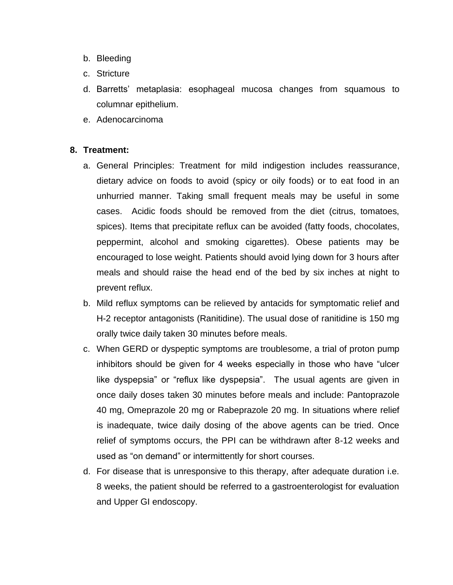- b. Bleeding
- c. Stricture
- d. Barretts' metaplasia: esophageal mucosa changes from squamous to columnar epithelium.
- e. Adenocarcinoma

## **8. Treatment:**

- a. General Principles: Treatment for mild indigestion includes reassurance, dietary advice on foods to avoid (spicy or oily foods) or to eat food in an unhurried manner. Taking small frequent meals may be useful in some cases. Acidic foods should be removed from the diet (citrus, tomatoes, spices). Items that precipitate reflux can be avoided (fatty foods, chocolates, peppermint, alcohol and smoking cigarettes). Obese patients may be encouraged to lose weight. Patients should avoid lying down for 3 hours after meals and should raise the head end of the bed by six inches at night to prevent reflux.
- b. Mild reflux symptoms can be relieved by antacids for symptomatic relief and H-2 receptor antagonists (Ranitidine). The usual dose of ranitidine is 150 mg orally twice daily taken 30 minutes before meals.
- c. When GERD or dyspeptic symptoms are troublesome, a trial of proton pump inhibitors should be given for 4 weeks especially in those who have "ulcer like dyspepsia" or "reflux like dyspepsia". The usual agents are given in once daily doses taken 30 minutes before meals and include: Pantoprazole 40 mg, Omeprazole 20 mg or Rabeprazole 20 mg. In situations where relief is inadequate, twice daily dosing of the above agents can be tried. Once relief of symptoms occurs, the PPI can be withdrawn after 8-12 weeks and used as "on demand" or intermittently for short courses.
- d. For disease that is unresponsive to this therapy, after adequate duration i.e. 8 weeks, the patient should be referred to a gastroenterologist for evaluation and Upper GI endoscopy.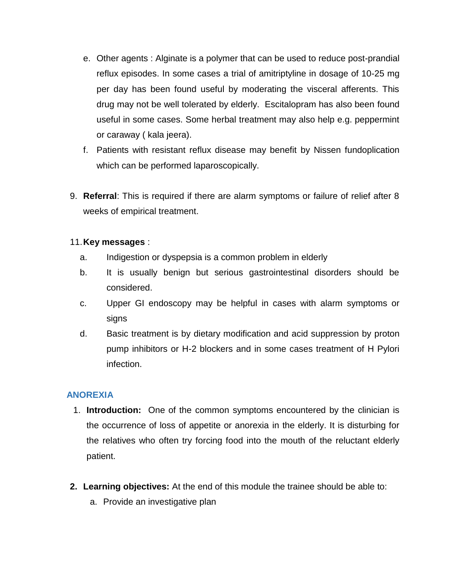- e. Other agents : Alginate is a polymer that can be used to reduce post-prandial reflux episodes. In some cases a trial of amitriptyline in dosage of 10-25 mg per day has been found useful by moderating the visceral afferents. This drug may not be well tolerated by elderly. Escitalopram has also been found useful in some cases. Some herbal treatment may also help e.g. peppermint or caraway ( kala jeera).
- f. Patients with resistant reflux disease may benefit by Nissen fundoplication which can be performed laparoscopically.
- 9. **Referral**: This is required if there are alarm symptoms or failure of relief after 8 weeks of empirical treatment.

#### 11.**Key messages** :

- a. Indigestion or dyspepsia is a common problem in elderly
- b. It is usually benign but serious gastrointestinal disorders should be considered.
- c. Upper GI endoscopy may be helpful in cases with alarm symptoms or signs
- d. Basic treatment is by dietary modification and acid suppression by proton pump inhibitors or H-2 blockers and in some cases treatment of H Pylori infection.

#### **ANOREXIA**

- 1. **Introduction:** One of the common symptoms encountered by the clinician is the occurrence of loss of appetite or anorexia in the elderly. It is disturbing for the relatives who often try forcing food into the mouth of the reluctant elderly patient.
- **2. Learning objectives:** At the end of this module the trainee should be able to:
	- a. Provide an investigative plan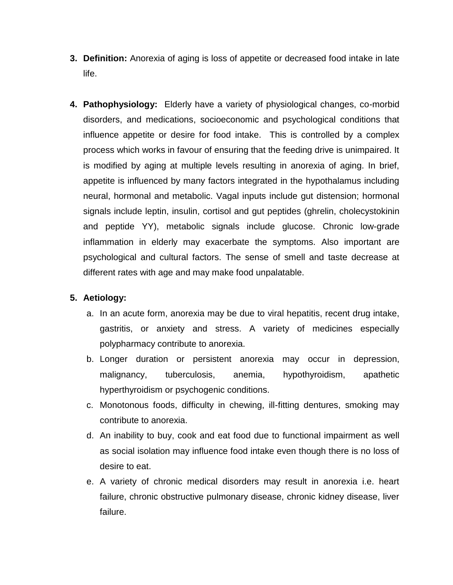- **3. Definition:** Anorexia of aging is loss of appetite or decreased food intake in late life.
- **4. Pathophysiology:** Elderly have a variety of physiological changes, co-morbid disorders, and medications, socioeconomic and psychological conditions that influence appetite or desire for food intake. This is controlled by a complex process which works in favour of ensuring that the feeding drive is unimpaired. It is modified by aging at multiple levels resulting in anorexia of aging. In brief, appetite is influenced by many factors integrated in the hypothalamus including neural, hormonal and metabolic. Vagal inputs include gut distension; hormonal signals include leptin, insulin, cortisol and gut peptides (ghrelin, cholecystokinin and peptide YY), metabolic signals include glucose. Chronic low-grade inflammation in elderly may exacerbate the symptoms. Also important are psychological and cultural factors. The sense of smell and taste decrease at different rates with age and may make food unpalatable.

## **5. Aetiology:**

- a. In an acute form, anorexia may be due to viral hepatitis, recent drug intake, gastritis, or anxiety and stress. A variety of medicines especially polypharmacy contribute to anorexia.
- b. Longer duration or persistent anorexia may occur in depression, malignancy, tuberculosis, anemia, hypothyroidism, apathetic hyperthyroidism or psychogenic conditions.
- c. Monotonous foods, difficulty in chewing, ill-fitting dentures, smoking may contribute to anorexia.
- d. An inability to buy, cook and eat food due to functional impairment as well as social isolation may influence food intake even though there is no loss of desire to eat.
- e. A variety of chronic medical disorders may result in anorexia i.e. heart failure, chronic obstructive pulmonary disease, chronic kidney disease, liver failure.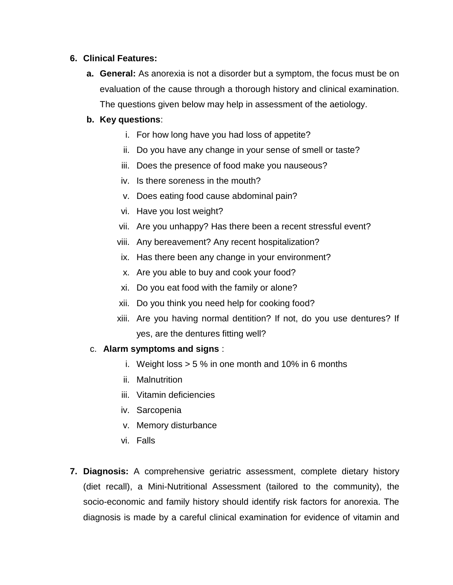## **6. Clinical Features:**

**a. General:** As anorexia is not a disorder but a symptom, the focus must be on evaluation of the cause through a thorough history and clinical examination. The questions given below may help in assessment of the aetiology.

# **b. Key questions**:

- i. For how long have you had loss of appetite?
- ii. Do you have any change in your sense of smell or taste?
- iii. Does the presence of food make you nauseous?
- iv. Is there soreness in the mouth?
- v. Does eating food cause abdominal pain?
- vi. Have you lost weight?
- vii. Are you unhappy? Has there been a recent stressful event?
- viii. Any bereavement? Any recent hospitalization?
- ix. Has there been any change in your environment?
- x. Are you able to buy and cook your food?
- xi. Do you eat food with the family or alone?
- xii. Do you think you need help for cooking food?
- xiii. Are you having normal dentition? If not, do you use dentures? If yes, are the dentures fitting well?

# c. **Alarm symptoms and signs** :

- i. Weight loss  $> 5\%$  in one month and 10% in 6 months
- ii. Malnutrition
- iii. Vitamin deficiencies
- iv. Sarcopenia
- v. Memory disturbance
- vi. Falls
- **7. Diagnosis:** A comprehensive geriatric assessment, complete dietary history (diet recall), a Mini-Nutritional Assessment (tailored to the community), the socio-economic and family history should identify risk factors for anorexia. The diagnosis is made by a careful clinical examination for evidence of vitamin and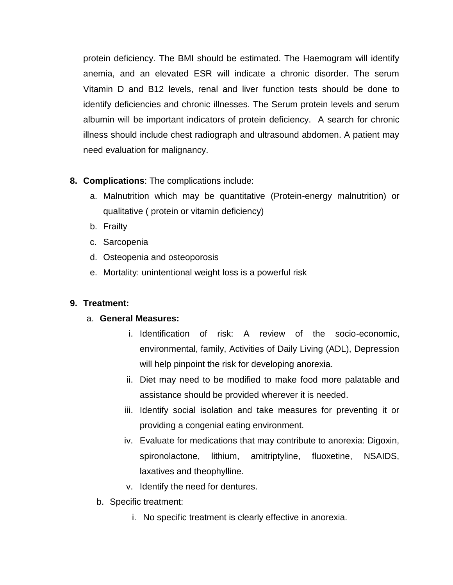protein deficiency. The BMI should be estimated. The Haemogram will identify anemia, and an elevated ESR will indicate a chronic disorder. The serum Vitamin D and B12 levels, renal and liver function tests should be done to identify deficiencies and chronic illnesses. The Serum protein levels and serum albumin will be important indicators of protein deficiency. A search for chronic illness should include chest radiograph and ultrasound abdomen. A patient may need evaluation for malignancy.

- **8. Complications**: The complications include:
	- a. Malnutrition which may be quantitative (Protein-energy malnutrition) or qualitative ( protein or vitamin deficiency)
	- b. Frailty
	- c. Sarcopenia
	- d. Osteopenia and osteoporosis
	- e. Mortality: unintentional weight loss is a powerful risk

# **9. Treatment:**

# a. **General Measures:**

- i. Identification of risk: A review of the socio-economic, environmental, family, Activities of Daily Living (ADL), Depression will help pinpoint the risk for developing anorexia.
- ii. Diet may need to be modified to make food more palatable and assistance should be provided wherever it is needed.
- iii. Identify social isolation and take measures for preventing it or providing a congenial eating environment.
- iv. Evaluate for medications that may contribute to anorexia: Digoxin, spironolactone, lithium, amitriptyline, fluoxetine, NSAIDS, laxatives and theophylline.
- v. Identify the need for dentures.
- b. Specific treatment:
	- i. No specific treatment is clearly effective in anorexia.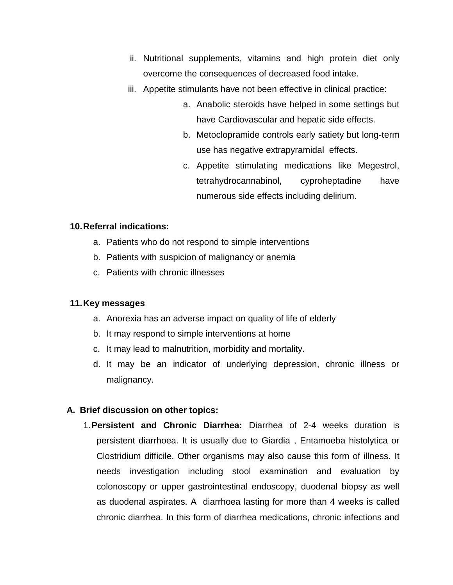- ii. Nutritional supplements, vitamins and high protein diet only overcome the consequences of decreased food intake.
- iii. Appetite stimulants have not been effective in clinical practice:
	- a. Anabolic steroids have helped in some settings but have Cardiovascular and hepatic side effects.
	- b. Metoclopramide controls early satiety but long-term use has negative extrapyramidal effects.
	- c. Appetite stimulating medications like Megestrol, tetrahydrocannabinol, cyproheptadine have numerous side effects including delirium.

## **10.Referral indications:**

- a. Patients who do not respond to simple interventions
- b. Patients with suspicion of malignancy or anemia
- c. Patients with chronic illnesses

#### **11.Key messages**

- a. Anorexia has an adverse impact on quality of life of elderly
- b. It may respond to simple interventions at home
- c. It may lead to malnutrition, morbidity and mortality.
- d. It may be an indicator of underlying depression, chronic illness or malignancy.

#### **A. Brief discussion on other topics:**

1.**Persistent and Chronic Diarrhea:** Diarrhea of 2-4 weeks duration is persistent diarrhoea. It is usually due to Giardia , Entamoeba histolytica or Clostridium difficile. Other organisms may also cause this form of illness. It needs investigation including stool examination and evaluation by colonoscopy or upper gastrointestinal endoscopy, duodenal biopsy as well as duodenal aspirates. A diarrhoea lasting for more than 4 weeks is called chronic diarrhea. In this form of diarrhea medications, chronic infections and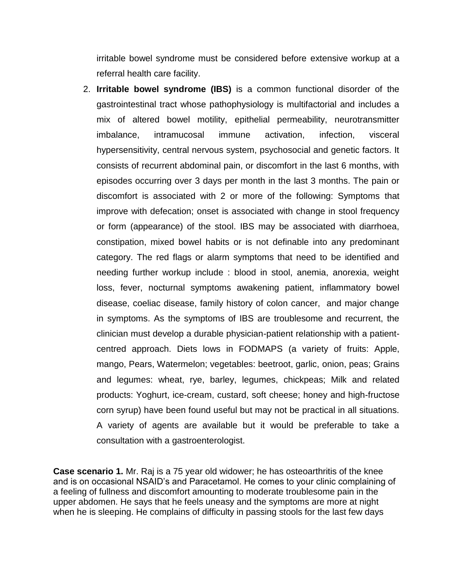irritable bowel syndrome must be considered before extensive workup at a referral health care facility.

2. **Irritable bowel syndrome (IBS)** is a common functional disorder of the gastrointestinal tract whose pathophysiology is multifactorial and includes a mix of altered bowel motility, epithelial permeability, neurotransmitter imbalance, intramucosal immune activation, infection, visceral hypersensitivity, central nervous system, psychosocial and genetic factors. It consists of recurrent abdominal pain, or discomfort in the last 6 months, with episodes occurring over 3 days per month in the last 3 months. The pain or discomfort is associated with 2 or more of the following: Symptoms that improve with defecation; onset is associated with change in stool frequency or form (appearance) of the stool. IBS may be associated with diarrhoea, constipation, mixed bowel habits or is not definable into any predominant category. The red flags or alarm symptoms that need to be identified and needing further workup include : blood in stool, anemia, anorexia, weight loss, fever, nocturnal symptoms awakening patient, inflammatory bowel disease, coeliac disease, family history of colon cancer, and major change in symptoms. As the symptoms of IBS are troublesome and recurrent, the clinician must develop a durable physician-patient relationship with a patientcentred approach. Diets lows in FODMAPS (a variety of fruits: Apple, mango, Pears, Watermelon; vegetables: beetroot, garlic, onion, peas; Grains and legumes: wheat, rye, barley, legumes, chickpeas; Milk and related products: Yoghurt, ice-cream, custard, soft cheese; honey and high-fructose corn syrup) have been found useful but may not be practical in all situations. A variety of agents are available but it would be preferable to take a consultation with a gastroenterologist.

**Case scenario 1.** Mr. Raj is a 75 year old widower; he has osteoarthritis of the knee and is on occasional NSAID's and Paracetamol. He comes to your clinic complaining of a feeling of fullness and discomfort amounting to moderate troublesome pain in the upper abdomen. He says that he feels uneasy and the symptoms are more at night when he is sleeping. He complains of difficulty in passing stools for the last few days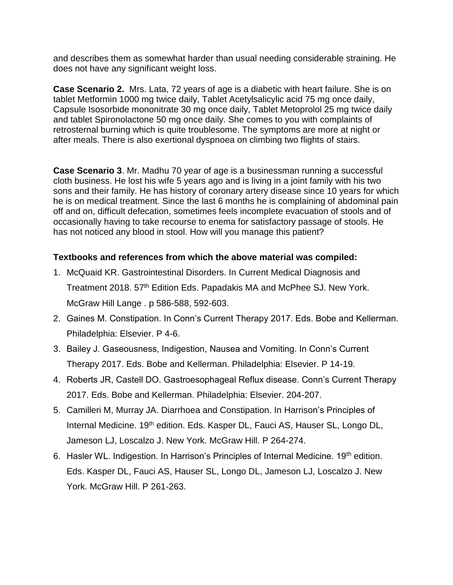and describes them as somewhat harder than usual needing considerable straining. He does not have any significant weight loss.

**Case Scenario 2.** Mrs. Lata, 72 years of age is a diabetic with heart failure. She is on tablet Metformin 1000 mg twice daily, Tablet Acetylsalicylic acid 75 mg once daily, Capsule Isosorbide mononitrate 30 mg once daily, Tablet Metoprolol 25 mg twice daily and tablet Spironolactone 50 mg once daily. She comes to you with complaints of retrosternal burning which is quite troublesome. The symptoms are more at night or after meals. There is also exertional dyspnoea on climbing two flights of stairs.

**Case Scenario 3**. Mr. Madhu 70 year of age is a businessman running a successful cloth business. He lost his wife 5 years ago and is living in a joint family with his two sons and their family. He has history of coronary artery disease since 10 years for which he is on medical treatment. Since the last 6 months he is complaining of abdominal pain off and on, difficult defecation, sometimes feels incomplete evacuation of stools and of occasionally having to take recourse to enema for satisfactory passage of stools. He has not noticed any blood in stool. How will you manage this patient?

# **Textbooks and references from which the above material was compiled:**

- 1. McQuaid KR. Gastrointestinal Disorders. In Current Medical Diagnosis and Treatment 2018. 57<sup>th</sup> Edition Eds. Papadakis MA and McPhee SJ. New York. McGraw Hill Lange . p 586-588, 592-603.
- 2. Gaines M. Constipation. In Conn's Current Therapy 2017. Eds. Bobe and Kellerman. Philadelphia: Elsevier. P 4-6.
- 3. Bailey J. Gaseousness, Indigestion, Nausea and Vomiting. In Conn's Current Therapy 2017. Eds. Bobe and Kellerman. Philadelphia: Elsevier. P 14-19.
- 4. Roberts JR, Castell DO. Gastroesophageal Reflux disease. Conn's Current Therapy 2017. Eds. Bobe and Kellerman. Philadelphia: Elsevier. 204-207.
- 5. Camilleri M, Murray JA. Diarrhoea and Constipation. In Harrison's Principles of Internal Medicine. 19<sup>th</sup> edition. Eds. Kasper DL, Fauci AS, Hauser SL, Longo DL, Jameson LJ, Loscalzo J. New York. McGraw Hill. P 264-274.
- 6. Hasler WL. Indigestion. In Harrison's Principles of Internal Medicine. 19<sup>th</sup> edition. Eds. Kasper DL, Fauci AS, Hauser SL, Longo DL, Jameson LJ, Loscalzo J. New York. McGraw Hill. P 261-263.